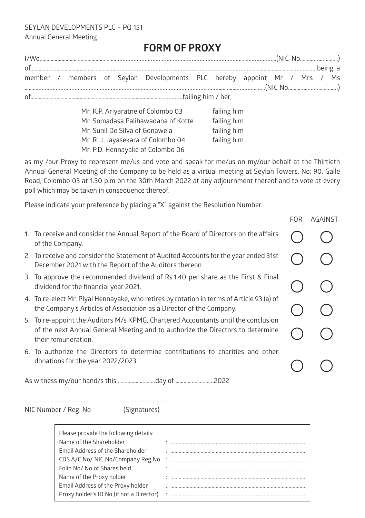SEYLAN DEVELOPMENTS PLC – PQ 151 Annual General Meeting

## **FORM OF PROXY**

|                                                                                                                                                                                                                                                                                                           |  |  |  | member / members of Seylan Developments PLC hereby appoint Mr / Mrs / Ms |  |  |  |  |  |  |
|-----------------------------------------------------------------------------------------------------------------------------------------------------------------------------------------------------------------------------------------------------------------------------------------------------------|--|--|--|--------------------------------------------------------------------------|--|--|--|--|--|--|
|                                                                                                                                                                                                                                                                                                           |  |  |  |                                                                          |  |  |  |  |  |  |
| $MrKDR$ $N_{\rm F}$ $N_{\rm F}$ $N_{\rm F}$ $\sim$ $M_{\rm F}$ $\sim$ $M_{\rm F}$ $\sim$ $M_{\rm F}$ $\sim$ $M_{\rm F}$ $\sim$ $M_{\rm F}$ $\sim$ $M_{\rm F}$ $\sim$ $M_{\rm F}$ $\sim$ $M_{\rm F}$ $\sim$ $M_{\rm F}$ $\sim$ $M_{\rm F}$ $\sim$ $M_{\rm F}$ $\sim$ $M_{\rm F}$ $\sim$ $M_{\rm F}$ $\sim$ |  |  |  |                                                                          |  |  |  |  |  |  |

Mr. K.P. Ariyaratne of Colombo 03 failing him Mr. Somadasa Palihawadana of Kotte failing him Mr. Sunil De Silva of Gonawela failing him Mr. R. J. Jayasekara of Colombo 04 failing him Mr. P.D. Hennayake of Colombo 06

as my /our Proxy to represent me/us and vote and speak for me/us on my/our behalf at the Thirtieth Annual General Meeting of the Company to be held as a virtual meeting at Seylan Towers, No: 90, Galle Road, Colombo 03 at 1.30 p.m on the 30th March 2022 at any adjournment thereof and to vote at every poll which may be taken in consequence thereof.

Please indicate your preference by placing a "X" against the Resolution Number.

|                                                                                                                                                                                             | FOR. | AGAINST |
|---------------------------------------------------------------------------------------------------------------------------------------------------------------------------------------------|------|---------|
| 1. To receive and consider the Annual Report of the Board of Directors on the affairs<br>of the Company.                                                                                    |      |         |
| 2. To receive and consider the Statement of Audited Accounts for the year ended 31st<br>December 2021 with the Report of the Auditors thereon.                                              |      |         |
| 3. To approve the recommended dividend of Rs.1.40 per share as the First & Final<br>dividend for the financial year 2021.                                                                   |      |         |
| 4. To re-elect Mr. Piyal Hennayake, who retires by rotation in terms of Article 93 (a) of<br>the Company's Articles of Association as a Director of the Company.                            |      |         |
| 5. To re-appoint the Auditors M/s KPMG, Chartered Accountants until the conclusion<br>of the next Annual General Meeting and to authorize the Directors to determine<br>their remuneration. |      |         |
| 6. To authorize the Directors to determine contributions to charities and other<br>donations for the year 2022/2023.                                                                        |      |         |

As witness my/our hand/s this ……………….……..day of ……………………….2022

……………………………............. …………………………….

NIC Number / Reg. No (Signatures)

| Please provide the following details:    |  |
|------------------------------------------|--|
| Name of the Shareholder                  |  |
| Email Address of the Shareholder         |  |
| CDS A/C No/ NIC No/Company Reg No        |  |
| Folio No/ No of Shares held              |  |
| Name of the Proxy holder                 |  |
| Email Address of the Proxy holder        |  |
| Proxy holder's ID No (if not a Director) |  |